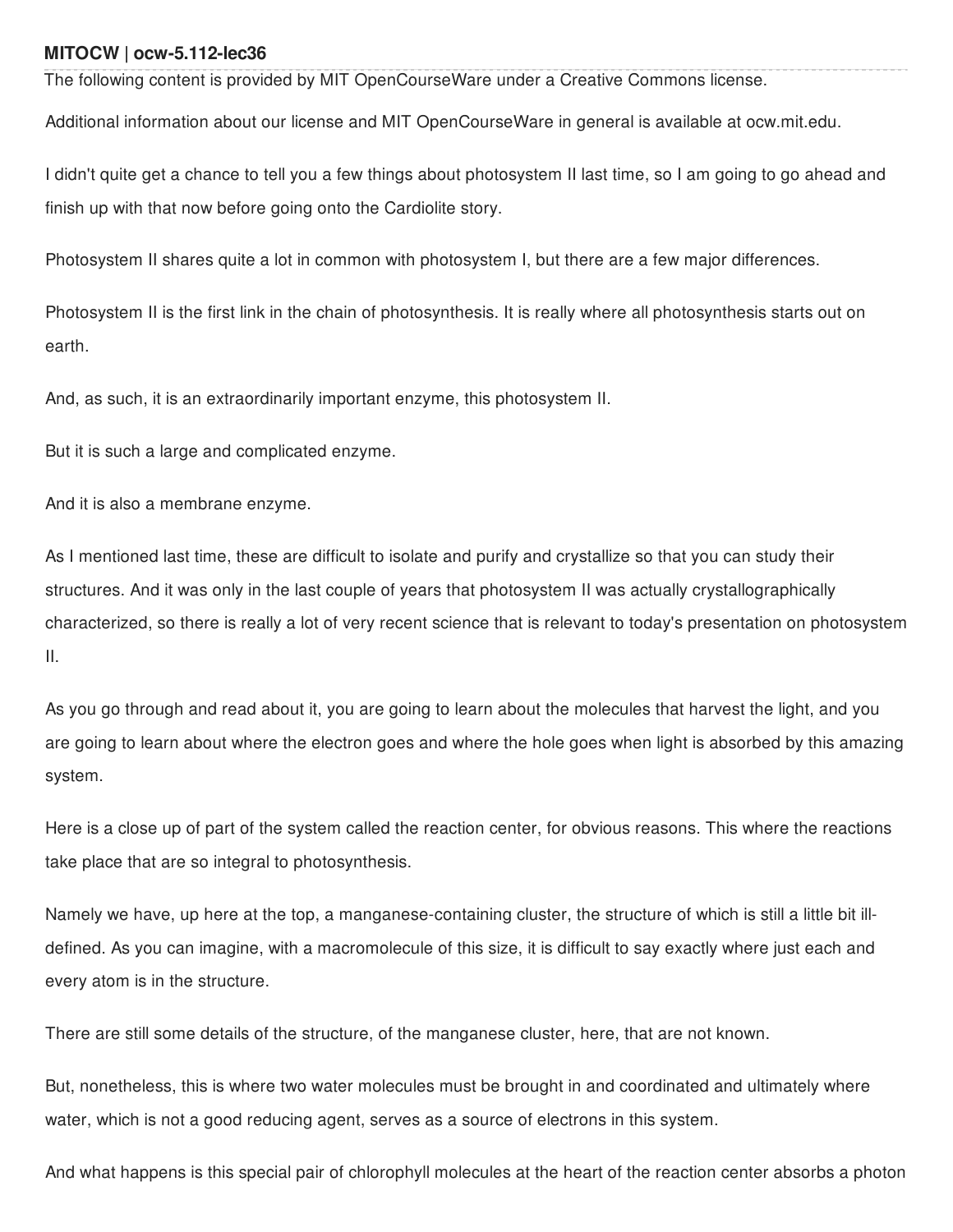## **MITOCW | ocw-5.112-lec36**

The following content is provided by MIT OpenCourseWare under a Creative Commons license.

Additional information about our license and MIT OpenCourseWare in general is available at ocw.mit.edu.

I didn't quite get a chance to tell you a few things about photosystem II last time, so I am going to go ahead and finish up with that now before going onto the Cardiolite story.

Photosystem II shares quite a lot in common with photosystem I, but there are a few major differences.

Photosystem II is the first link in the chain of photosynthesis. It is really where all photosynthesis starts out on earth.

And, as such, it is an extraordinarily important enzyme, this photosystem II.

But it is such a large and complicated enzyme.

And it is also a membrane enzyme.

As I mentioned last time, these are difficult to isolate and purify and crystallize so that you can study their structures. And it was only in the last couple of years that photosystem II was actually crystallographically characterized, so there is really a lot of very recent science that is relevant to today's presentation on photosystem II.

As you go through and read about it, you are going to learn about the molecules that harvest the light, and you are going to learn about where the electron goes and where the hole goes when light is absorbed by this amazing system.

Here is a close up of part of the system called the reaction center, for obvious reasons. This where the reactions take place that are so integral to photosynthesis.

Namely we have, up here at the top, a manganese-containing cluster, the structure of which is still a little bit illdefined. As you can imagine, with a macromolecule of this size, it is difficult to say exactly where just each and every atom is in the structure.

There are still some details of the structure, of the manganese cluster, here, that are not known.

But, nonetheless, this is where two water molecules must be brought in and coordinated and ultimately where water, which is not a good reducing agent, serves as a source of electrons in this system.

And what happens is this special pair of chlorophyll molecules at the heart of the reaction center absorbs a photon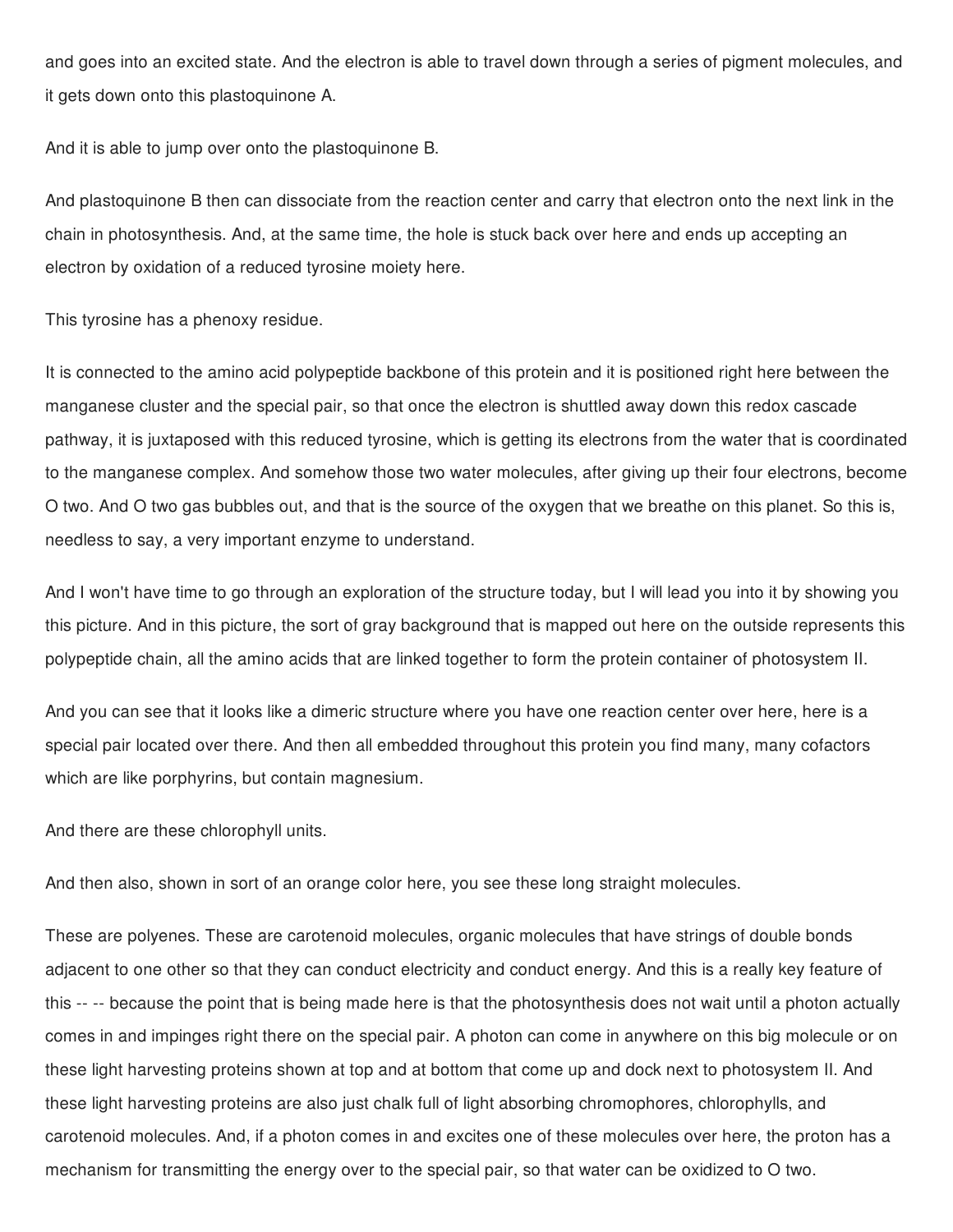and goes into an excited state. And the electron is able to travel down through a series of pigment molecules, and it gets down onto this plastoquinone A.

And it is able to jump over onto the plastoquinone B.

And plastoquinone B then can dissociate from the reaction center and carry that electron onto the next link in the chain in photosynthesis. And, at the same time, the hole is stuck back over here and ends up accepting an electron by oxidation of a reduced tyrosine moiety here.

This tyrosine has a phenoxy residue.

It is connected to the amino acid polypeptide backbone of this protein and it is positioned right here between the manganese cluster and the special pair, so that once the electron is shuttled away down this redox cascade pathway, it is juxtaposed with this reduced tyrosine, which is getting its electrons from the water that is coordinated to the manganese complex. And somehow those two water molecules, after giving up their four electrons, become O two. And O two gas bubbles out, and that is the source of the oxygen that we breathe on this planet. So this is, needless to say, a very important enzyme to understand.

And I won't have time to go through an exploration of the structure today, but I will lead you into it by showing you this picture. And in this picture, the sort of gray background that is mapped out here on the outside represents this polypeptide chain, all the amino acids that are linked together to form the protein container of photosystem II.

And you can see that it looks like a dimeric structure where you have one reaction center over here, here is a special pair located over there. And then all embedded throughout this protein you find many, many cofactors which are like porphyrins, but contain magnesium.

And there are these chlorophyll units.

And then also, shown in sort of an orange color here, you see these long straight molecules.

These are polyenes. These are carotenoid molecules, organic molecules that have strings of double bonds adjacent to one other so that they can conduct electricity and conduct energy. And this is a really key feature of this -- -- because the point that is being made here is that the photosynthesis does not wait until a photon actually comes in and impinges right there on the special pair. A photon can come in anywhere on this big molecule or on these light harvesting proteins shown at top and at bottom that come up and dock next to photosystem II. And these light harvesting proteins are also just chalk full of light absorbing chromophores, chlorophylls, and carotenoid molecules. And, if a photon comes in and excites one of these molecules over here, the proton has a mechanism for transmitting the energy over to the special pair, so that water can be oxidized to O two.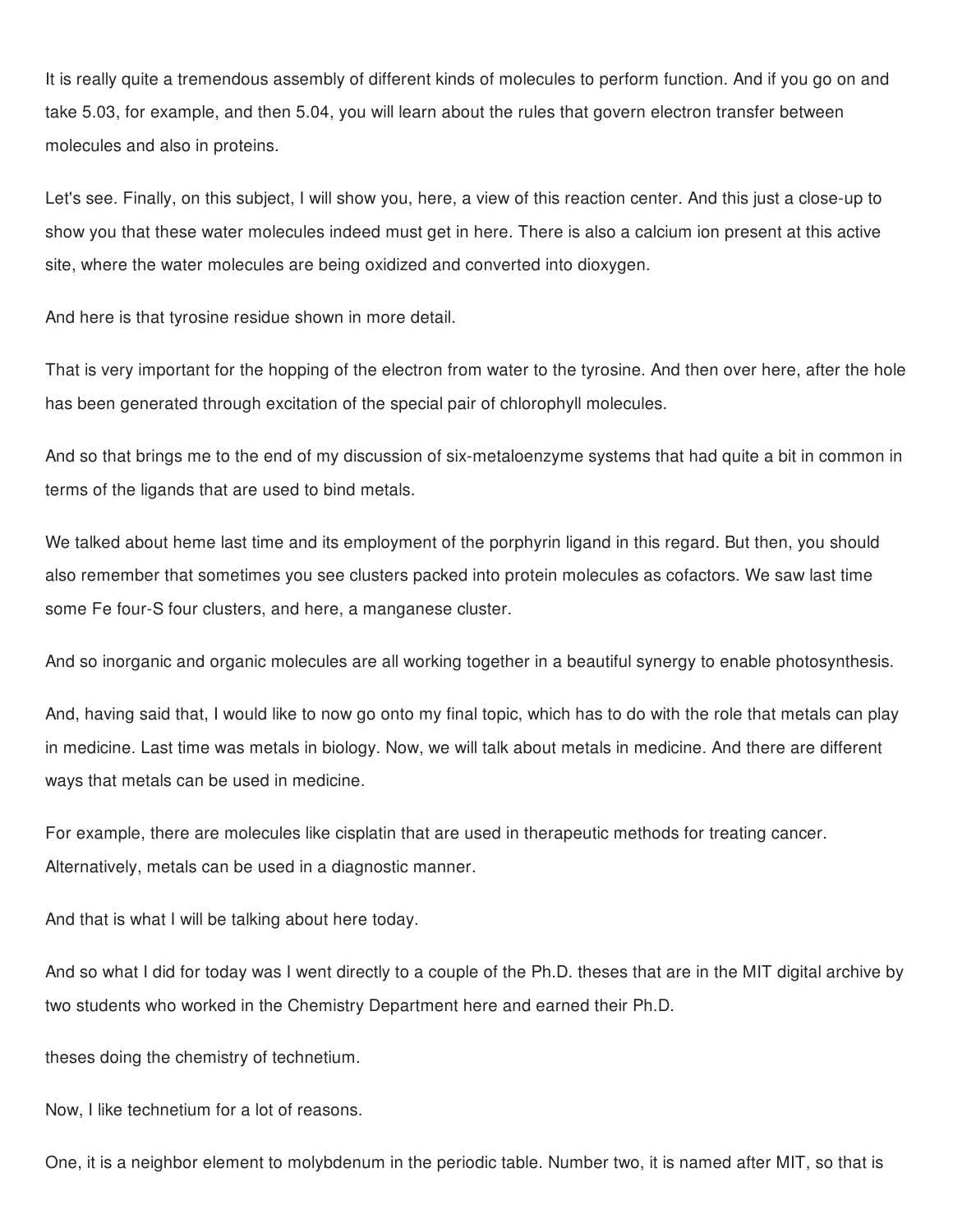It is really quite a tremendous assembly of different kinds of molecules to perform function. And if you go on and take 5.03, for example, and then 5.04, you will learn about the rules that govern electron transfer between molecules and also in proteins.

Let's see. Finally, on this subject, I will show you, here, a view of this reaction center. And this just a close-up to show you that these water molecules indeed must get in here. There is also a calcium ion present at this active site, where the water molecules are being oxidized and converted into dioxygen.

And here is that tyrosine residue shown in more detail.

That is very important for the hopping of the electron from water to the tyrosine. And then over here, after the hole has been generated through excitation of the special pair of chlorophyll molecules.

And so that brings me to the end of my discussion of six-metaloenzyme systems that had quite a bit in common in terms of the ligands that are used to bind metals.

We talked about heme last time and its employment of the porphyrin ligand in this regard. But then, you should also remember that sometimes you see clusters packed into protein molecules as cofactors. We saw last time some Fe four-S four clusters, and here, a manganese cluster.

And so inorganic and organic molecules are all working together in a beautiful synergy to enable photosynthesis.

And, having said that, I would like to now go onto my final topic, which has to do with the role that metals can play in medicine. Last time was metals in biology. Now, we will talk about metals in medicine. And there are different ways that metals can be used in medicine.

For example, there are molecules like cisplatin that are used in therapeutic methods for treating cancer. Alternatively, metals can be used in a diagnostic manner.

And that is what I will be talking about here today.

And so what I did for today was I went directly to a couple of the Ph.D. theses that are in the MIT digital archive by two students who worked in the Chemistry Department here and earned their Ph.D.

theses doing the chemistry of technetium.

Now, I like technetium for a lot of reasons.

One, it is a neighbor element to molybdenum in the periodic table. Number two, it is named after MIT, so that is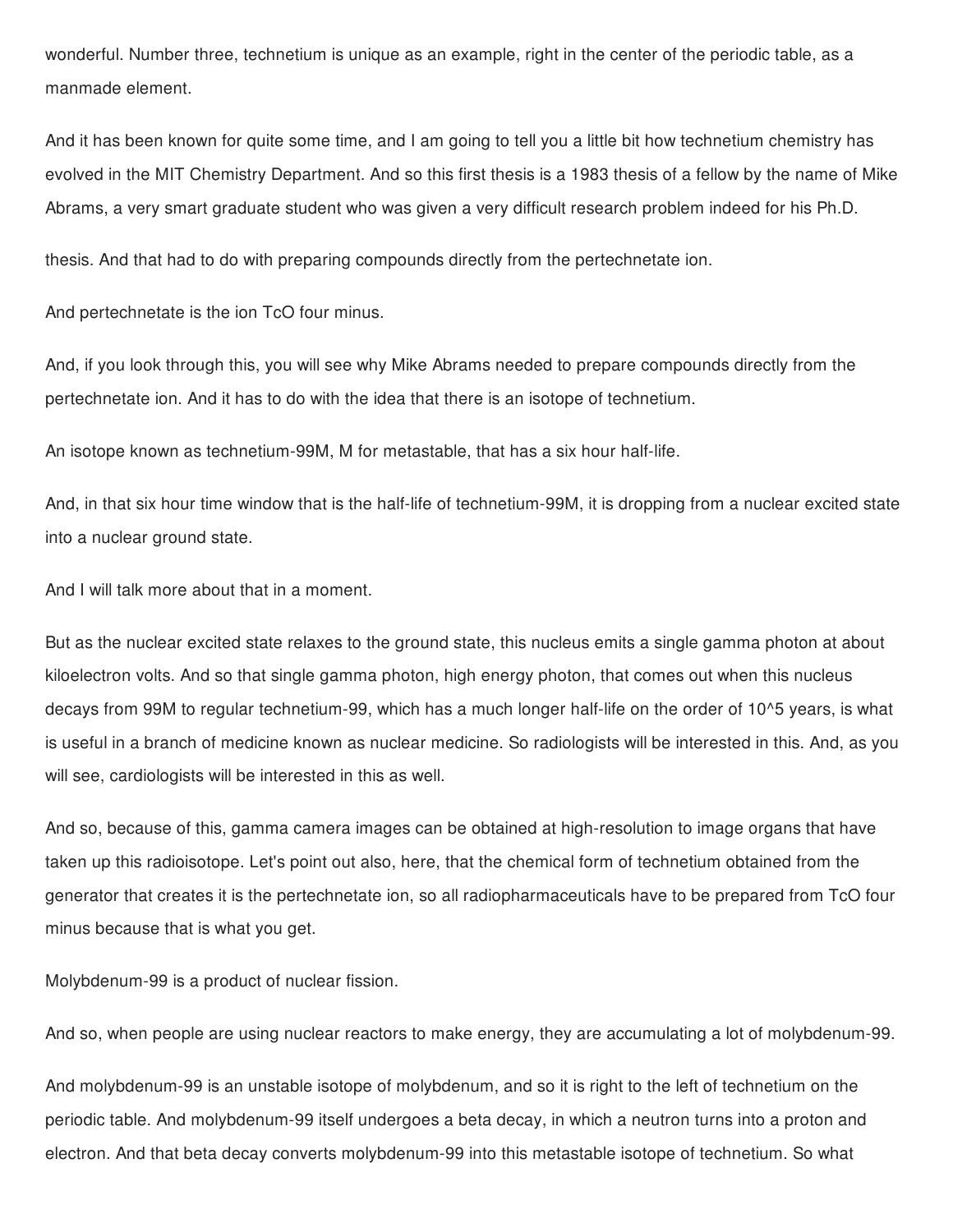wonderful. Number three, technetium is unique as an example, right in the center of the periodic table, as a manmade element.

And it has been known for quite some time, and I am going to tell you a little bit how technetium chemistry has evolved in the MIT Chemistry Department. And so this first thesis is a 1983 thesis of a fellow by the name of Mike Abrams, a very smart graduate student who was given a very difficult research problem indeed for his Ph.D.

thesis. And that had to do with preparing compounds directly from the pertechnetate ion.

And pertechnetate is the ion TcO four minus.

And, if you look through this, you will see why Mike Abrams needed to prepare compounds directly from the pertechnetate ion. And it has to do with the idea that there is an isotope of technetium.

An isotope known as technetium-99M, M for metastable, that has a six hour half-life.

And, in that six hour time window that is the half-life of technetium-99M, it is dropping from a nuclear excited state into a nuclear ground state.

And I will talk more about that in a moment.

But as the nuclear excited state relaxes to the ground state, this nucleus emits a single gamma photon at about kiloelectron volts. And so that single gamma photon, high energy photon, that comes out when this nucleus decays from 99M to regular technetium-99, which has a much longer half-life on the order of 10^5 years, is what is useful in a branch of medicine known as nuclear medicine. So radiologists will be interested in this. And, as you will see, cardiologists will be interested in this as well.

And so, because of this, gamma camera images can be obtained at high-resolution to image organs that have taken up this radioisotope. Let's point out also, here, that the chemical form of technetium obtained from the generator that creates it is the pertechnetate ion, so all radiopharmaceuticals have to be prepared from TcO four minus because that is what you get.

Molybdenum-99 is a product of nuclear fission.

And so, when people are using nuclear reactors to make energy, they are accumulating a lot of molybdenum-99.

And molybdenum-99 is an unstable isotope of molybdenum, and so it is right to the left of technetium on the periodic table. And molybdenum-99 itself undergoes a beta decay, in which a neutron turns into a proton and electron. And that beta decay converts molybdenum-99 into this metastable isotope of technetium. So what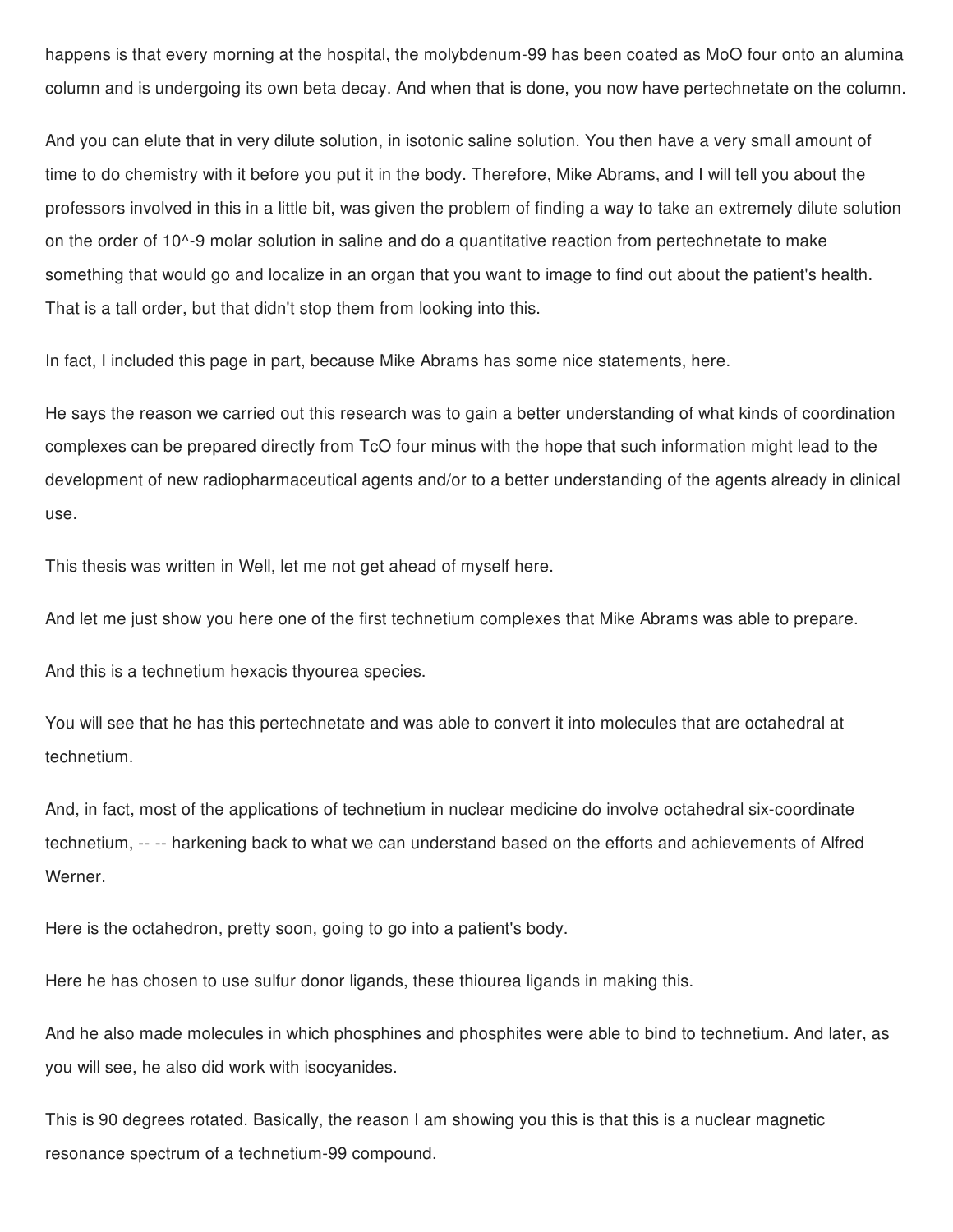happens is that every morning at the hospital, the molybdenum-99 has been coated as MoO four onto an alumina column and is undergoing its own beta decay. And when that is done, you now have pertechnetate on the column.

And you can elute that in very dilute solution, in isotonic saline solution. You then have a very small amount of time to do chemistry with it before you put it in the body. Therefore, Mike Abrams, and I will tell you about the professors involved in this in a little bit, was given the problem of finding a way to take an extremely dilute solution on the order of 10^-9 molar solution in saline and do a quantitative reaction from pertechnetate to make something that would go and localize in an organ that you want to image to find out about the patient's health. That is a tall order, but that didn't stop them from looking into this.

In fact, I included this page in part, because Mike Abrams has some nice statements, here.

He says the reason we carried out this research was to gain a better understanding of what kinds of coordination complexes can be prepared directly from TcO four minus with the hope that such information might lead to the development of new radiopharmaceutical agents and/or to a better understanding of the agents already in clinical use.

This thesis was written in Well, let me not get ahead of myself here.

And let me just show you here one of the first technetium complexes that Mike Abrams was able to prepare.

And this is a technetium hexacis thyourea species.

You will see that he has this pertechnetate and was able to convert it into molecules that are octahedral at technetium.

And, in fact, most of the applications of technetium in nuclear medicine do involve octahedral six-coordinate technetium, -- -- harkening back to what we can understand based on the efforts and achievements of Alfred Werner.

Here is the octahedron, pretty soon, going to go into a patient's body.

Here he has chosen to use sulfur donor ligands, these thiourea ligands in making this.

And he also made molecules in which phosphines and phosphites were able to bind to technetium. And later, as you will see, he also did work with isocyanides.

This is 90 degrees rotated. Basically, the reason I am showing you this is that this is a nuclear magnetic resonance spectrum of a technetium-99 compound.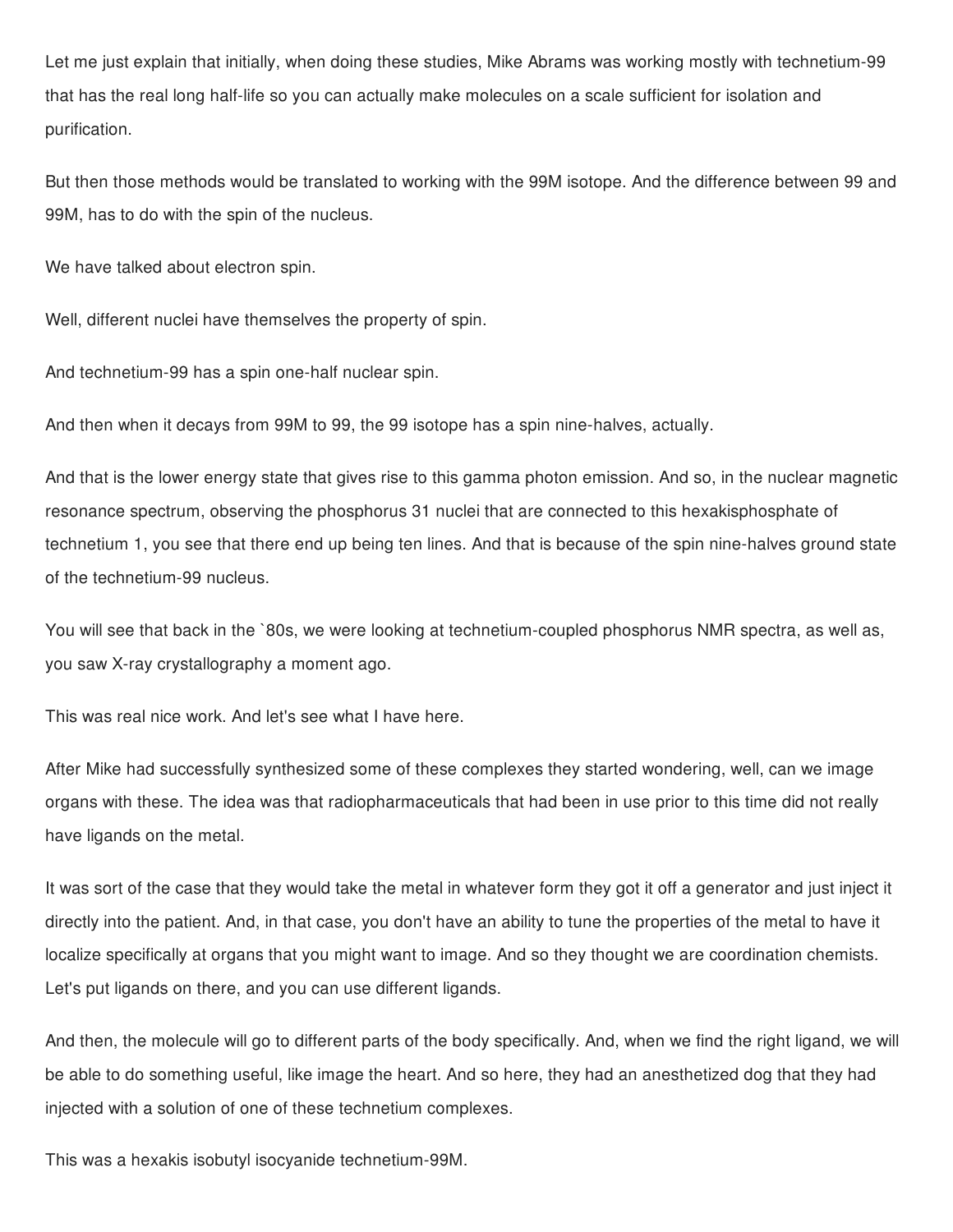Let me just explain that initially, when doing these studies, Mike Abrams was working mostly with technetium-99 that has the real long half-life so you can actually make molecules on a scale sufficient for isolation and purification.

But then those methods would be translated to working with the 99M isotope. And the difference between 99 and 99M, has to do with the spin of the nucleus.

We have talked about electron spin.

Well, different nuclei have themselves the property of spin.

And technetium-99 has a spin one-half nuclear spin.

And then when it decays from 99M to 99, the 99 isotope has a spin nine-halves, actually.

And that is the lower energy state that gives rise to this gamma photon emission. And so, in the nuclear magnetic resonance spectrum, observing the phosphorus 31 nuclei that are connected to this hexakisphosphate of technetium 1, you see that there end up being ten lines. And that is because of the spin nine-halves ground state of the technetium-99 nucleus.

You will see that back in the `80s, we were looking at technetium-coupled phosphorus NMR spectra, as well as, you saw X-ray crystallography a moment ago.

This was real nice work. And let's see what I have here.

After Mike had successfully synthesized some of these complexes they started wondering, well, can we image organs with these. The idea was that radiopharmaceuticals that had been in use prior to this time did not really have ligands on the metal.

It was sort of the case that they would take the metal in whatever form they got it off a generator and just inject it directly into the patient. And, in that case, you don't have an ability to tune the properties of the metal to have it localize specifically at organs that you might want to image. And so they thought we are coordination chemists. Let's put ligands on there, and you can use different ligands.

And then, the molecule will go to different parts of the body specifically. And, when we find the right ligand, we will be able to do something useful, like image the heart. And so here, they had an anesthetized dog that they had injected with a solution of one of these technetium complexes.

This was a hexakis isobutyl isocyanide technetium-99M.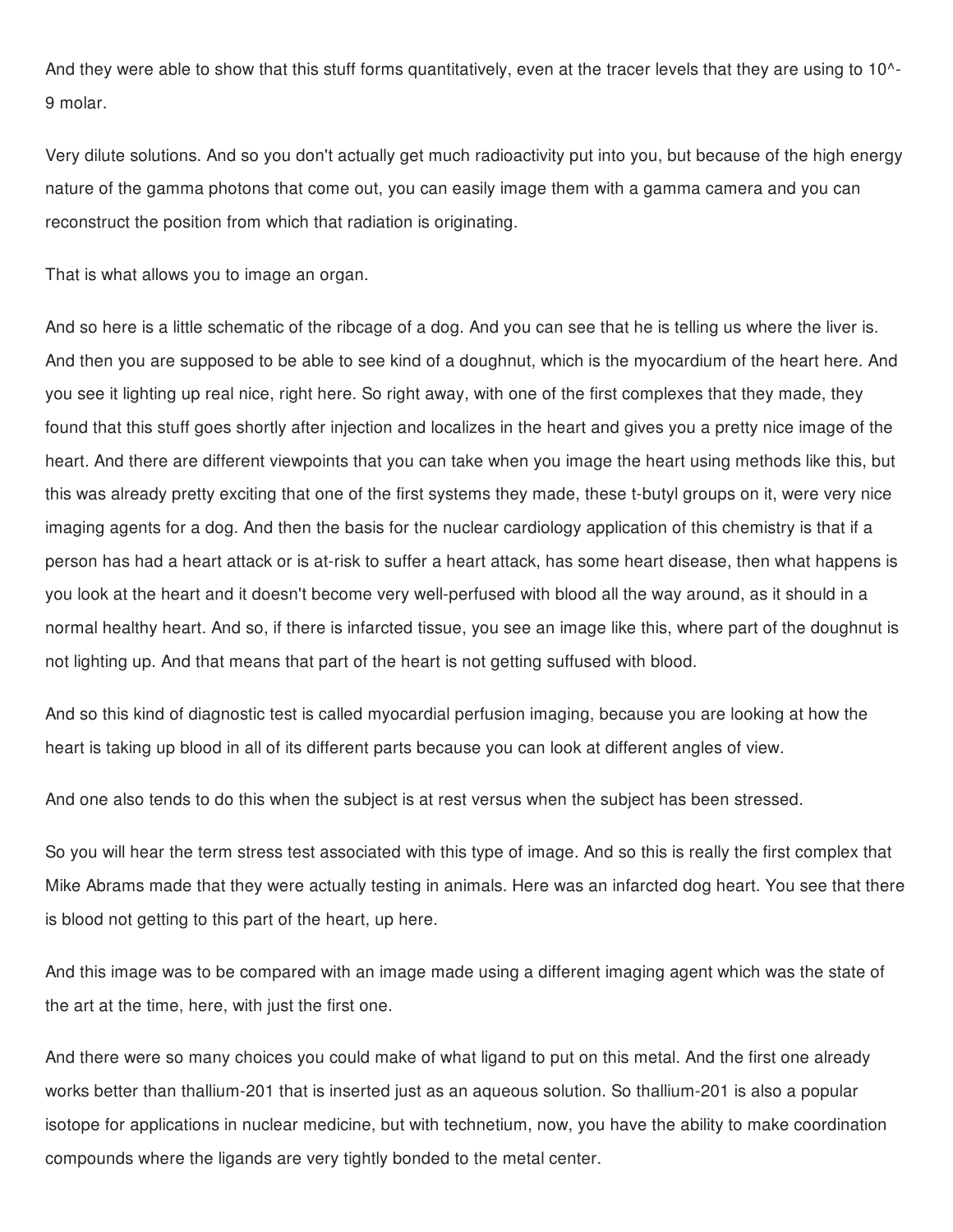And they were able to show that this stuff forms quantitatively, even at the tracer levels that they are using to 10^-9 molar.

Very dilute solutions. And so you don't actually get much radioactivity put into you, but because of the high energy nature of the gamma photons that come out, you can easily image them with a gamma camera and you can reconstruct the position from which that radiation is originating.

That is what allows you to image an organ.

And so here is a little schematic of the ribcage of a dog. And you can see that he is telling us where the liver is. And then you are supposed to be able to see kind of a doughnut, which is the myocardium of the heart here. And you see it lighting up real nice, right here. So right away, with one of the first complexes that they made, they found that this stuff goes shortly after injection and localizes in the heart and gives you a pretty nice image of the heart. And there are different viewpoints that you can take when you image the heart using methods like this, but this was already pretty exciting that one of the first systems they made, these t-butyl groups on it, were very nice imaging agents for a dog. And then the basis for the nuclear cardiology application of this chemistry is that if a person has had a heart attack or is at-risk to suffer a heart attack, has some heart disease, then what happens is you look at the heart and it doesn't become very well-perfused with blood all the way around, as it should in a normal healthy heart. And so, if there is infarcted tissue, you see an image like this, where part of the doughnut is not lighting up. And that means that part of the heart is not getting suffused with blood.

And so this kind of diagnostic test is called myocardial perfusion imaging, because you are looking at how the heart is taking up blood in all of its different parts because you can look at different angles of view.

And one also tends to do this when the subject is at rest versus when the subject has been stressed.

So you will hear the term stress test associated with this type of image. And so this is really the first complex that Mike Abrams made that they were actually testing in animals. Here was an infarcted dog heart. You see that there is blood not getting to this part of the heart, up here.

And this image was to be compared with an image made using a different imaging agent which was the state of the art at the time, here, with just the first one.

And there were so many choices you could make of what ligand to put on this metal. And the first one already works better than thallium-201 that is inserted just as an aqueous solution. So thallium-201 is also a popular isotope for applications in nuclear medicine, but with technetium, now, you have the ability to make coordination compounds where the ligands are very tightly bonded to the metal center.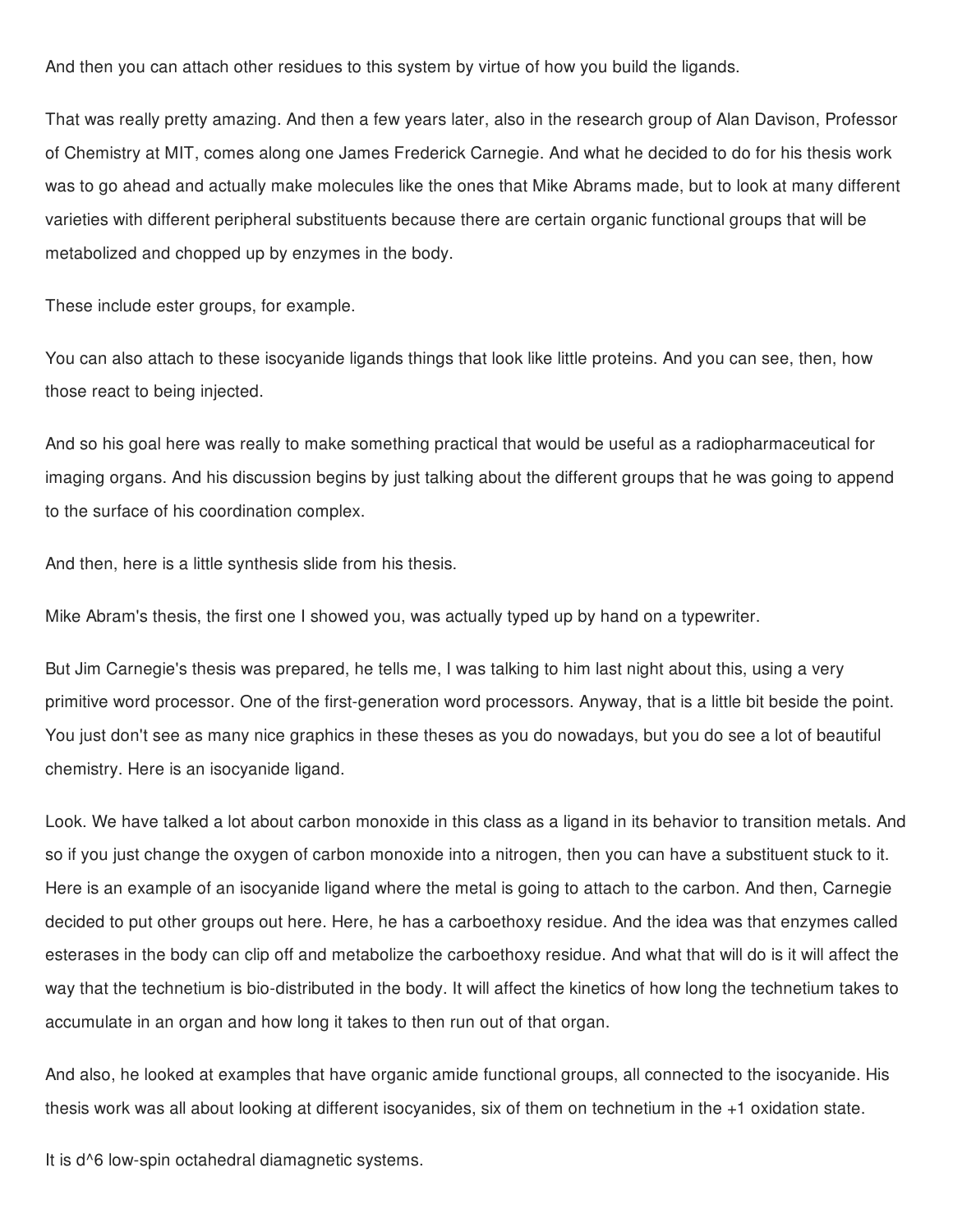And then you can attach other residues to this system by virtue of how you build the ligands.

That was really pretty amazing. And then a few years later, also in the research group of Alan Davison, Professor of Chemistry at MIT, comes along one James Frederick Carnegie. And what he decided to do for his thesis work was to go ahead and actually make molecules like the ones that Mike Abrams made, but to look at many different varieties with different peripheral substituents because there are certain organic functional groups that will be metabolized and chopped up by enzymes in the body.

These include ester groups, for example.

You can also attach to these isocyanide ligands things that look like little proteins. And you can see, then, how those react to being injected.

And so his goal here was really to make something practical that would be useful as a radiopharmaceutical for imaging organs. And his discussion begins by just talking about the different groups that he was going to append to the surface of his coordination complex.

And then, here is a little synthesis slide from his thesis.

Mike Abram's thesis, the first one I showed you, was actually typed up by hand on a typewriter.

But Jim Carnegie's thesis was prepared, he tells me, I was talking to him last night about this, using a very primitive word processor. One of the first-generation word processors. Anyway, that is a little bit beside the point. You just don't see as many nice graphics in these theses as you do nowadays, but you do see a lot of beautiful chemistry. Here is an isocyanide ligand.

Look. We have talked a lot about carbon monoxide in this class as a ligand in its behavior to transition metals. And so if you just change the oxygen of carbon monoxide into a nitrogen, then you can have a substituent stuck to it. Here is an example of an isocyanide ligand where the metal is going to attach to the carbon. And then, Carnegie decided to put other groups out here. Here, he has a carboethoxy residue. And the idea was that enzymes called esterases in the body can clip off and metabolize the carboethoxy residue. And what that will do is it will affect the way that the technetium is bio-distributed in the body. It will affect the kinetics of how long the technetium takes to accumulate in an organ and how long it takes to then run out of that organ.

And also, he looked at examples that have organic amide functional groups, all connected to the isocyanide. His thesis work was all about looking at different isocyanides, six of them on technetium in the +1 oxidation state.

It is  $d^6$  low-spin octahedral diamagnetic systems.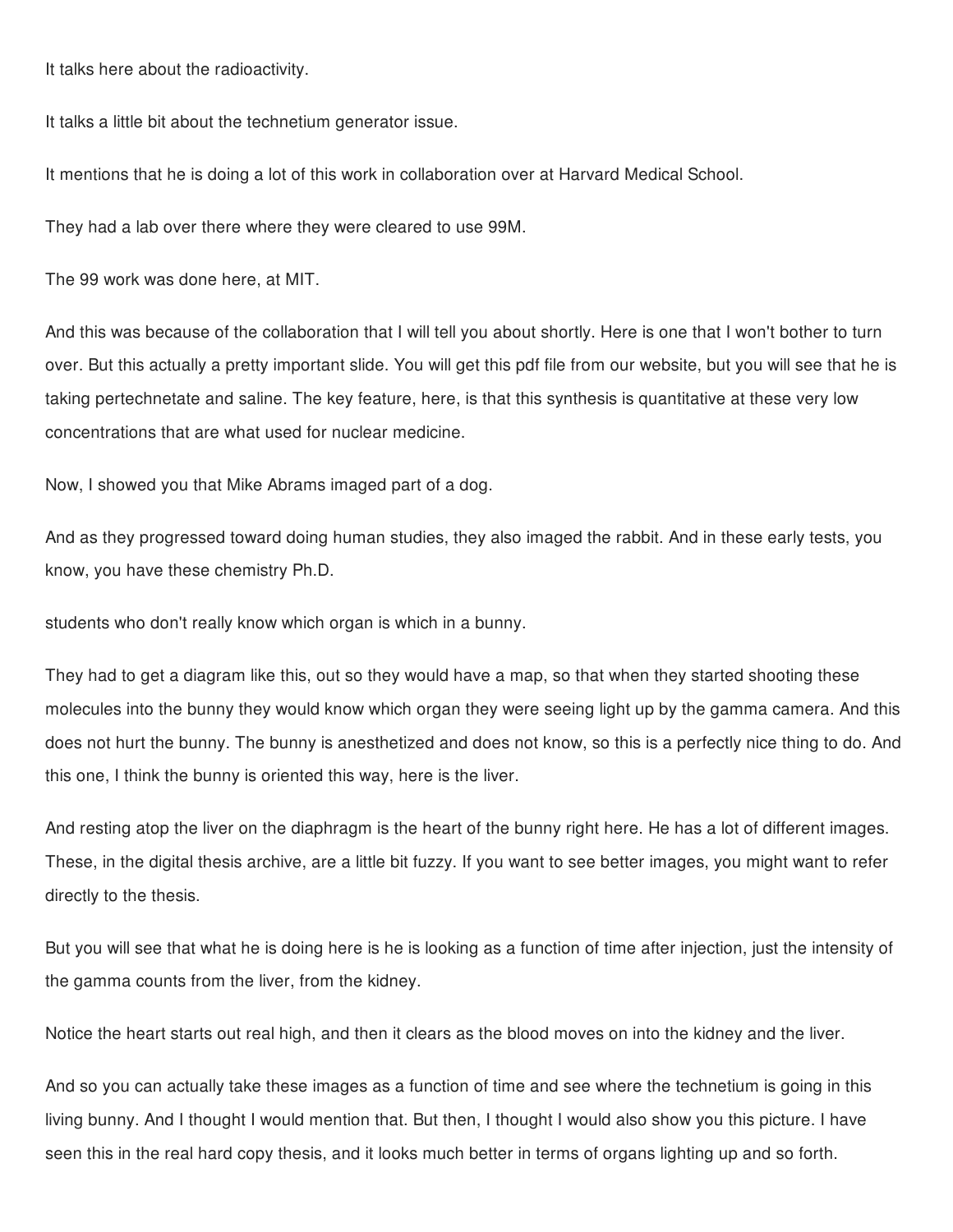It talks here about the radioactivity.

It talks a little bit about the technetium generator issue.

It mentions that he is doing a lot of this work in collaboration over at Harvard Medical School.

They had a lab over there where they were cleared to use 99M.

The 99 work was done here, at MIT.

And this was because of the collaboration that I will tell you about shortly. Here is one that I won't bother to turn over. But this actually a pretty important slide. You will get this pdf file from our website, but you will see that he is taking pertechnetate and saline. The key feature, here, is that this synthesis is quantitative at these very low concentrations that are what used for nuclear medicine.

Now, I showed you that Mike Abrams imaged part of a dog.

And as they progressed toward doing human studies, they also imaged the rabbit. And in these early tests, you know, you have these chemistry Ph.D.

students who don't really know which organ is which in a bunny.

They had to get a diagram like this, out so they would have a map, so that when they started shooting these molecules into the bunny they would know which organ they were seeing light up by the gamma camera. And this does not hurt the bunny. The bunny is anesthetized and does not know, so this is a perfectly nice thing to do. And this one, I think the bunny is oriented this way, here is the liver.

And resting atop the liver on the diaphragm is the heart of the bunny right here. He has a lot of different images. These, in the digital thesis archive, are a little bit fuzzy. If you want to see better images, you might want to refer directly to the thesis.

But you will see that what he is doing here is he is looking as a function of time after injection, just the intensity of the gamma counts from the liver, from the kidney.

Notice the heart starts out real high, and then it clears as the blood moves on into the kidney and the liver.

And so you can actually take these images as a function of time and see where the technetium is going in this living bunny. And I thought I would mention that. But then, I thought I would also show you this picture. I have seen this in the real hard copy thesis, and it looks much better in terms of organs lighting up and so forth.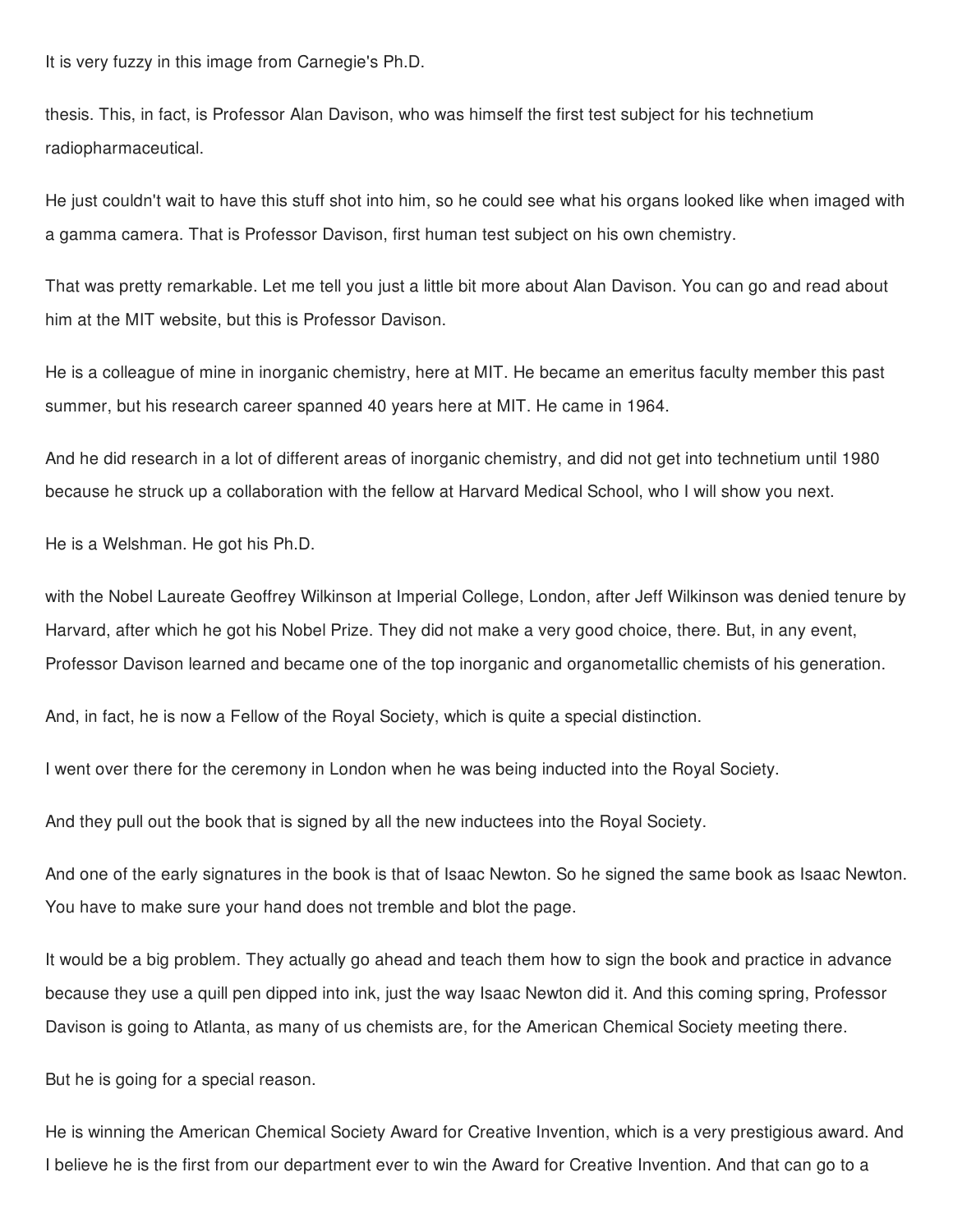It is very fuzzy in this image from Carnegie's Ph.D.

thesis. This, in fact, is Professor Alan Davison, who was himself the first test subject for his technetium radiopharmaceutical.

He just couldn't wait to have this stuff shot into him, so he could see what his organs looked like when imaged with a gamma camera. That is Professor Davison, first human test subject on his own chemistry.

That was pretty remarkable. Let me tell you just a little bit more about Alan Davison. You can go and read about him at the MIT website, but this is Professor Davison.

He is a colleague of mine in inorganic chemistry, here at MIT. He became an emeritus faculty member this past summer, but his research career spanned 40 years here at MIT. He came in 1964.

And he did research in a lot of different areas of inorganic chemistry, and did not get into technetium until 1980 because he struck up a collaboration with the fellow at Harvard Medical School, who I will show you next.

He is a Welshman. He got his Ph.D.

with the Nobel Laureate Geoffrey Wilkinson at Imperial College, London, after Jeff Wilkinson was denied tenure by Harvard, after which he got his Nobel Prize. They did not make a very good choice, there. But, in any event, Professor Davison learned and became one of the top inorganic and organometallic chemists of his generation.

And, in fact, he is now a Fellow of the Royal Society, which is quite a special distinction.

I went over there for the ceremony in London when he was being inducted into the Royal Society.

And they pull out the book that is signed by all the new inductees into the Royal Society.

And one of the early signatures in the book is that of Isaac Newton. So he signed the same book as Isaac Newton. You have to make sure your hand does not tremble and blot the page.

It would be a big problem. They actually go ahead and teach them how to sign the book and practice in advance because they use a quill pen dipped into ink, just the way Isaac Newton did it. And this coming spring, Professor Davison is going to Atlanta, as many of us chemists are, for the American Chemical Society meeting there.

But he is going for a special reason.

He is winning the American Chemical Society Award for Creative Invention, which is a very prestigious award. And I believe he is the first from our department ever to win the Award for Creative Invention. And that can go to a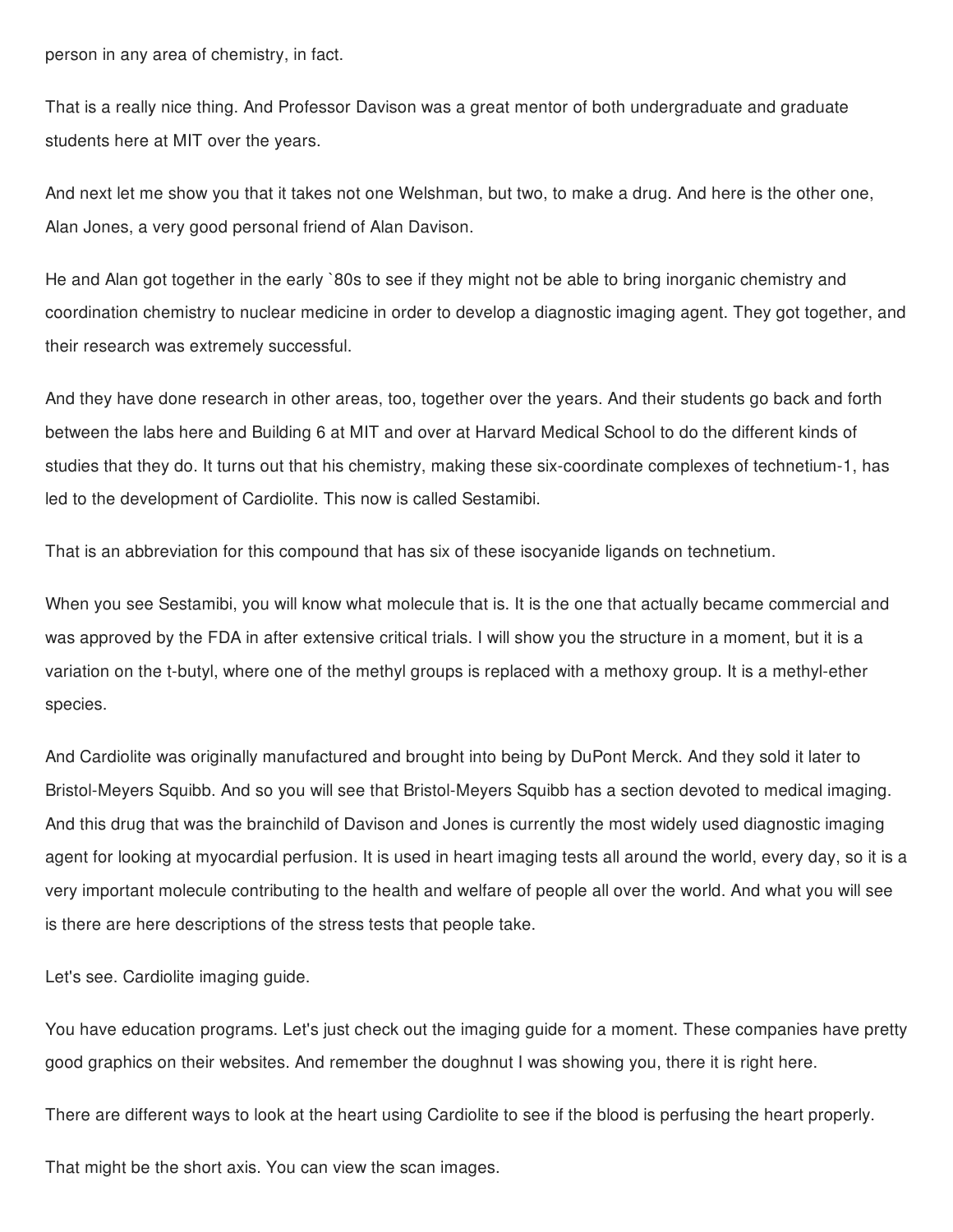person in any area of chemistry, in fact.

That is a really nice thing. And Professor Davison was a great mentor of both undergraduate and graduate students here at MIT over the years.

And next let me show you that it takes not one Welshman, but two, to make a drug. And here is the other one, Alan Jones, a very good personal friend of Alan Davison.

He and Alan got together in the early `80s to see if they might not be able to bring inorganic chemistry and coordination chemistry to nuclear medicine in order to develop a diagnostic imaging agent. They got together, and their research was extremely successful.

And they have done research in other areas, too, together over the years. And their students go back and forth between the labs here and Building 6 at MIT and over at Harvard Medical School to do the different kinds of studies that they do. It turns out that his chemistry, making these six-coordinate complexes of technetium-1, has led to the development of Cardiolite. This now is called Sestamibi.

That is an abbreviation for this compound that has six of these isocyanide ligands on technetium.

When you see Sestamibi, you will know what molecule that is. It is the one that actually became commercial and was approved by the FDA in after extensive critical trials. I will show you the structure in a moment, but it is a variation on the t-butyl, where one of the methyl groups is replaced with a methoxy group. It is a methyl-ether species.

And Cardiolite was originally manufactured and brought into being by DuPont Merck. And they sold it later to Bristol-Meyers Squibb. And so you will see that Bristol-Meyers Squibb has a section devoted to medical imaging. And this drug that was the brainchild of Davison and Jones is currently the most widely used diagnostic imaging agent for looking at myocardial perfusion. It is used in heart imaging tests all around the world, every day, so it is a very important molecule contributing to the health and welfare of people all over the world. And what you will see is there are here descriptions of the stress tests that people take.

Let's see. Cardiolite imaging guide.

You have education programs. Let's just check out the imaging guide for a moment. These companies have pretty good graphics on their websites. And remember the doughnut I was showing you, there it is right here.

There are different ways to look at the heart using Cardiolite to see if the blood is perfusing the heart properly.

That might be the short axis. You can view the scan images.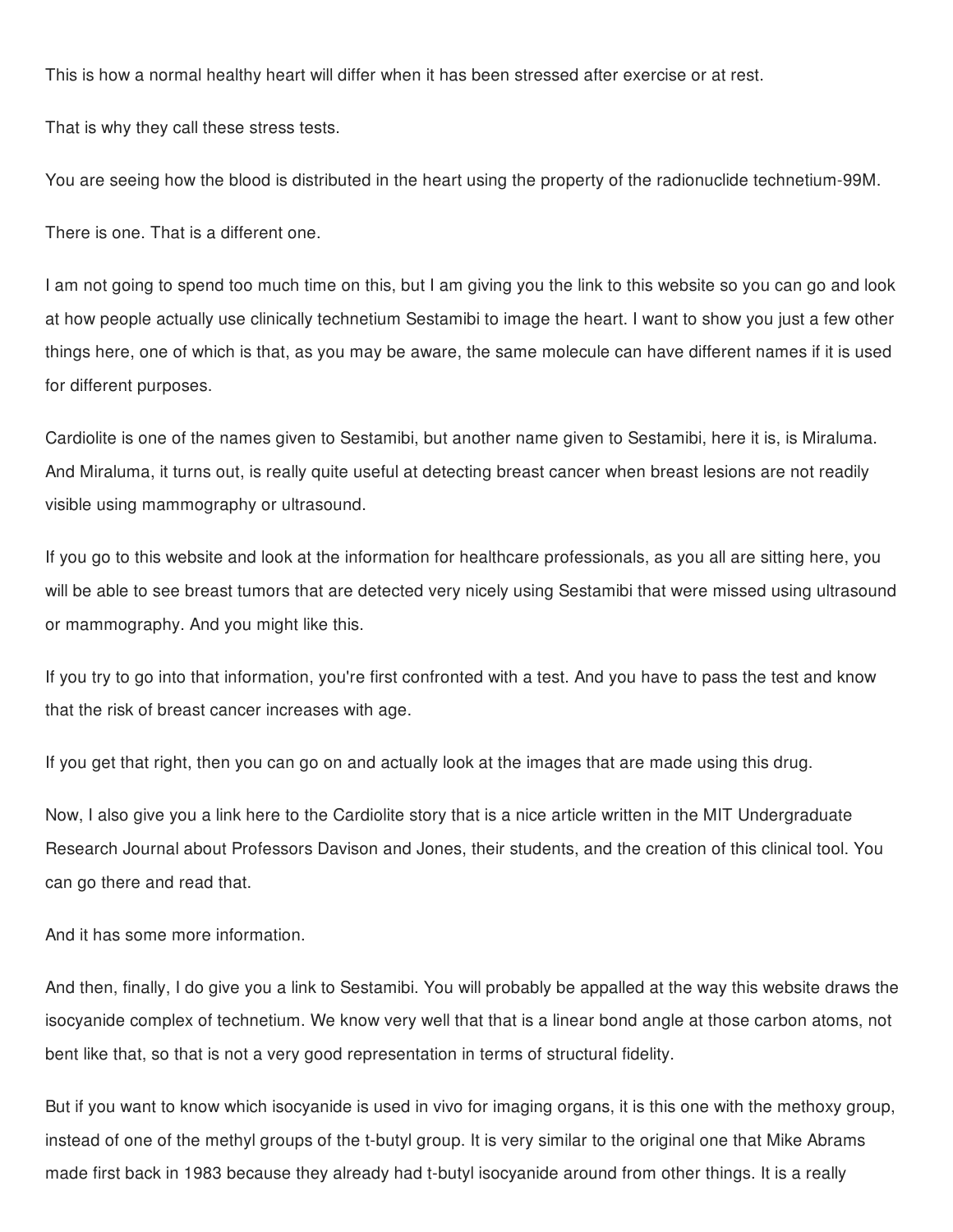This is how a normal healthy heart will differ when it has been stressed after exercise or at rest.

That is why they call these stress tests.

You are seeing how the blood is distributed in the heart using the property of the radionuclide technetium-99M.

There is one. That is a different one.

I am not going to spend too much time on this, but I am giving you the link to this website so you can go and look at how people actually use clinically technetium Sestamibi to image the heart. I want to show you just a few other things here, one of which is that, as you may be aware, the same molecule can have different names if it is used for different purposes.

Cardiolite is one of the names given to Sestamibi, but another name given to Sestamibi, here it is, is Miraluma. And Miraluma, it turns out, is really quite useful at detecting breast cancer when breast lesions are not readily visible using mammography or ultrasound.

If you go to this website and look at the information for healthcare professionals, as you all are sitting here, you will be able to see breast tumors that are detected very nicely using Sestamibi that were missed using ultrasound or mammography. And you might like this.

If you try to go into that information, you're first confronted with a test. And you have to pass the test and know that the risk of breast cancer increases with age.

If you get that right, then you can go on and actually look at the images that are made using this drug.

Now, I also give you a link here to the Cardiolite story that is a nice article written in the MIT Undergraduate Research Journal about Professors Davison and Jones, their students, and the creation of this clinical tool. You can go there and read that.

And it has some more information.

And then, finally, I do give you a link to Sestamibi. You will probably be appalled at the way this website draws the isocyanide complex of technetium. We know very well that that is a linear bond angle at those carbon atoms, not bent like that, so that is not a very good representation in terms of structural fidelity.

But if you want to know which isocyanide is used in vivo for imaging organs, it is this one with the methoxy group, instead of one of the methyl groups of the t-butyl group. It is very similar to the original one that Mike Abrams made first back in 1983 because they already had t-butyl isocyanide around from other things. It is a really